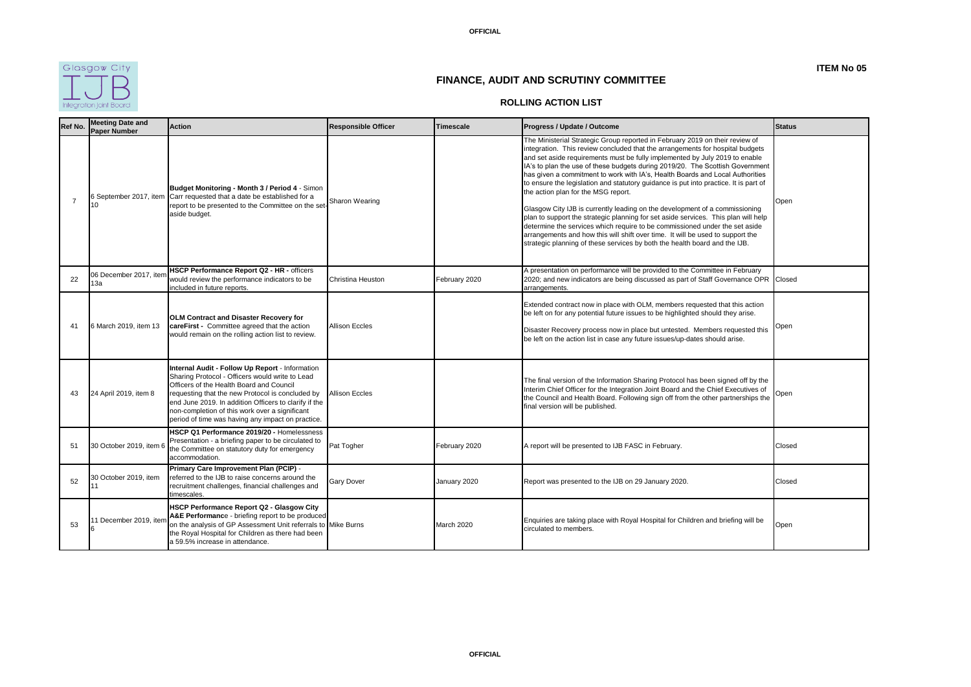

**ITEM No 05**

## **FINANCE, AUDIT AND SCRUTINY COMMITTEE**

## **ROLLING ACTION LIST**

| Ref No.        | <b>Meeting Date and</b><br>Paper Number | <b>Action</b>                                                                                                                                                                                                                                                                                                                                                      | <b>Responsible Officer</b> | <b>Timescale</b> | Progress / Update / Outcome                                                                                                                                                                                                                                                                                                                                                                                                                                                                                                                                                                                                                                                                                                                                                                                                                                                                                                                                       | <b>Status</b> |
|----------------|-----------------------------------------|--------------------------------------------------------------------------------------------------------------------------------------------------------------------------------------------------------------------------------------------------------------------------------------------------------------------------------------------------------------------|----------------------------|------------------|-------------------------------------------------------------------------------------------------------------------------------------------------------------------------------------------------------------------------------------------------------------------------------------------------------------------------------------------------------------------------------------------------------------------------------------------------------------------------------------------------------------------------------------------------------------------------------------------------------------------------------------------------------------------------------------------------------------------------------------------------------------------------------------------------------------------------------------------------------------------------------------------------------------------------------------------------------------------|---------------|
| $\overline{7}$ | 6 September 2017, item<br>10            | Budget Monitoring - Month 3 / Period 4 - Simon<br>Carr requested that a date be established for a<br>report to be presented to the Committee on the set-<br>aside budget.                                                                                                                                                                                          | Sharon Wearing             |                  | The Ministerial Strategic Group reported in February 2019 on their review of<br>integration. This review concluded that the arrangements for hospital budgets<br>and set aside requirements must be fully implemented by July 2019 to enable<br>IA's to plan the use of these budgets during 2019/20. The Scottish Government<br>has given a commitment to work with IA's, Health Boards and Local Authorities<br>to ensure the legislation and statutory guidance is put into practice. It is part of<br>the action plan for the MSG report.<br>Glasgow City IJB is currently leading on the development of a commissioning<br>plan to support the strategic planning for set aside services. This plan will help<br>determine the services which require to be commissioned under the set aside<br>arrangements and how this will shift over time. It will be used to support the<br>strategic planning of these services by both the health board and the IJB. | Open          |
| 22             | 06 December 2017, item<br>13а           | HSCP Performance Report Q2 - HR - officers<br>would review the performance indicators to be<br>included in future reports.                                                                                                                                                                                                                                         | Christina Heuston          | February 2020    | A presentation on performance will be provided to the Committee in February<br>2020; and new indicators are being discussed as part of Staff Governance OPR Closed<br>arrangements.                                                                                                                                                                                                                                                                                                                                                                                                                                                                                                                                                                                                                                                                                                                                                                               |               |
| 41             | 6 March 2019, item 13                   | OLM Contract and Disaster Recovery for<br>careFirst - Committee agreed that the action<br>would remain on the rolling action list to review.                                                                                                                                                                                                                       | <b>Allison Eccles</b>      |                  | Extended contract now in place with OLM, members requested that this action<br>be left on for any potential future issues to be highlighted should they arise.<br>Disaster Recovery process now in place but untested. Members requested this<br>be left on the action list in case any future issues/up-dates should arise.                                                                                                                                                                                                                                                                                                                                                                                                                                                                                                                                                                                                                                      | Open          |
| 43             | 24 April 2019, item 8                   | Internal Audit - Follow Up Report - Information<br>Sharing Protocol - Officers would write to Lead<br>Officers of the Health Board and Council<br>requesting that the new Protocol is concluded by<br>end June 2019. In addition Officers to clarify if the<br>non-completion of this work over a significant<br>period of time was having any impact on practice. | <b>Allison Eccles</b>      |                  | The final version of the Information Sharing Protocol has been signed off by the<br>Interim Chief Officer for the Integration Joint Board and the Chief Executives of<br>the Council and Health Board. Following sign off from the other partnerships the<br>final version will be published.                                                                                                                                                                                                                                                                                                                                                                                                                                                                                                                                                                                                                                                                     | Open          |
| 51             | 30 October 2019, item 6                 | HSCP Q1 Performance 2019/20 - Homelessness<br>Presentation - a briefing paper to be circulated to<br>the Committee on statutory duty for emergency<br>accommodation.                                                                                                                                                                                               | Pat Togher                 | February 2020    | A report will be presented to IJB FASC in February.                                                                                                                                                                                                                                                                                                                                                                                                                                                                                                                                                                                                                                                                                                                                                                                                                                                                                                               | Closed        |
| 52             | 30 October 2019, item                   | Primary Care Improvement Plan (PCIP) -<br>referred to the IJB to raise concerns around the<br>recruitment challenges, financial challenges and<br>timescales.                                                                                                                                                                                                      | Gary Dover                 | January 2020     | Report was presented to the IJB on 29 January 2020.                                                                                                                                                                                                                                                                                                                                                                                                                                                                                                                                                                                                                                                                                                                                                                                                                                                                                                               | Closed        |
| 53             | 11 December 2019, item                  | HSCP Performance Report Q2 - Glasgow City<br>A&E Performance - briefing report to be produced<br>on the analysis of GP Assessment Unit referrals to Mike Burns<br>the Royal Hospital for Children as there had been<br>a 59.5% increase in attendance.                                                                                                             |                            | March 2020       | Enquiries are taking place with Royal Hospital for Children and briefing will be<br>circulated to members.                                                                                                                                                                                                                                                                                                                                                                                                                                                                                                                                                                                                                                                                                                                                                                                                                                                        | Open          |

**OFFICIAL**